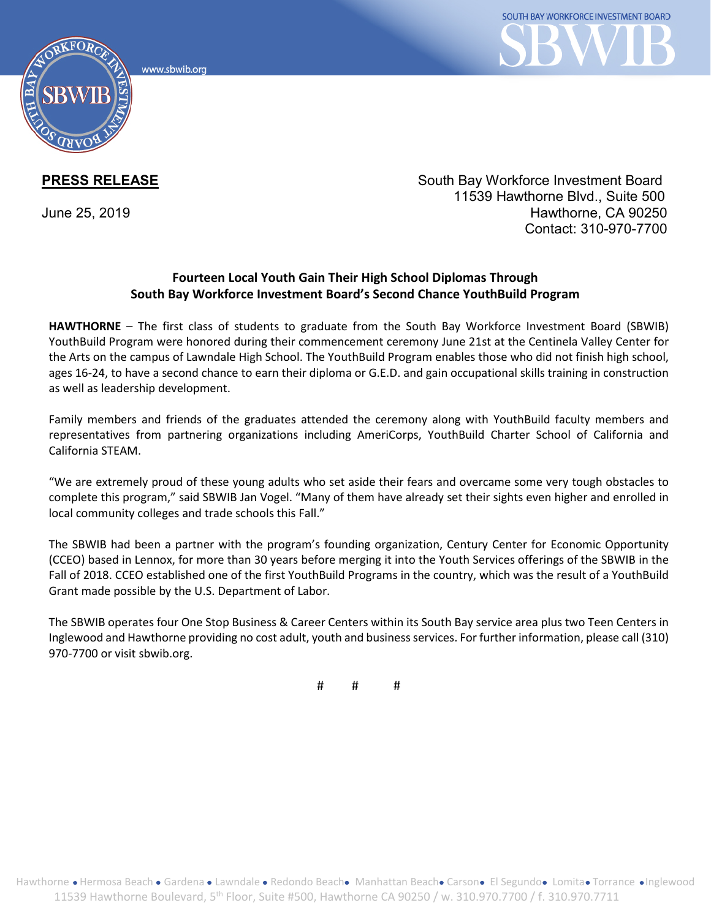www.sbwib.orc



**PRESS RELEASE** South Bay Workforce Investment Board 11539 Hawthorne Blvd., Suite 500 June 25, 2019 Hawthorne, CA 90250 Contact: 310-970-7700

## **Fourteen Local Youth Gain Their High School Diplomas Through South Bay Workforce Investment Board's Second Chance YouthBuild Program**

**HAWTHORNE** – The first class of students to graduate from the South Bay Workforce Investment Board (SBWIB) YouthBuild Program were honored during their commencement ceremony June 21st at the Centinela Valley Center for the Arts on the campus of Lawndale High School. The YouthBuild Program enables those who did not finish high school, ages 16-24, to have a second chance to earn their diploma or G.E.D. and gain occupational skills training in construction as well as leadership development.

Family members and friends of the graduates attended the ceremony along with YouthBuild faculty members and representatives from partnering organizations including AmeriCorps, YouthBuild Charter School of California and California STEAM.

"We are extremely proud of these young adults who set aside their fears and overcame some very tough obstacles to complete this program," said SBWIB Jan Vogel. "Many of them have already set their sights even higher and enrolled in local community colleges and trade schools this Fall."

The SBWIB had been a partner with the program's founding organization, Century Center for Economic Opportunity (CCEO) based in Lennox, for more than 30 years before merging it into the Youth Services offerings of the SBWIB in the Fall of 2018. CCEO established one of the first YouthBuild Programs in the country, which was the result of a YouthBuild Grant made possible by the U.S. Department of Labor.

The SBWIB operates four One Stop Business & Career Centers within its South Bay service area plus two Teen Centers in Inglewood and Hawthorne providing no cost adult, youth and business services. For further information, please call (310) 970-7700 or visit sbwib.org.

# # #